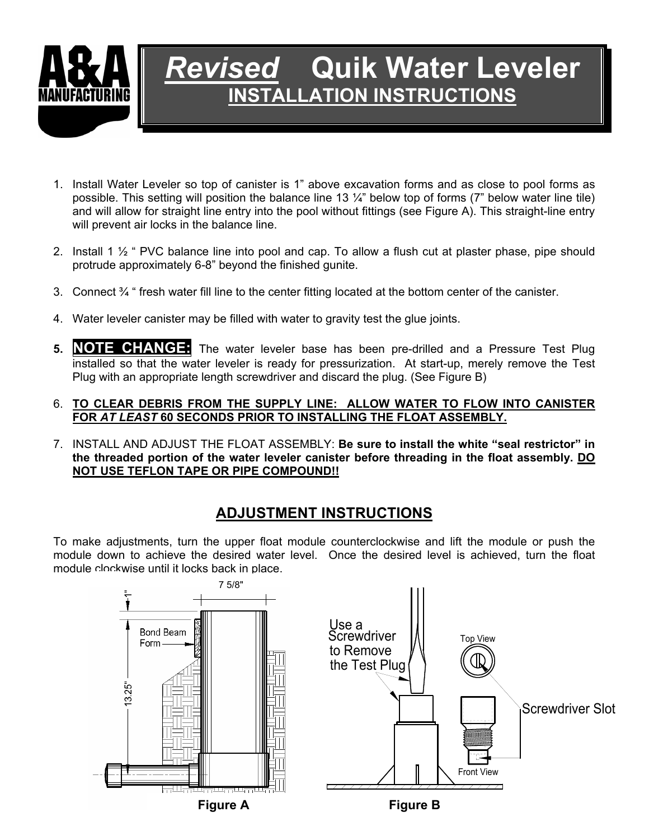

# *Revised* **Quik Water Leveler INSTALLATION INSTRUCTIONS**

- 1. Install Water Leveler so top of canister is 1" above excavation forms and as close to pool forms as possible. This setting will position the balance line 13 ¼" below top of forms (7" below water line tile) and will allow for straight line entry into the pool without fittings (see Figure A). This straight-line entry will prevent air locks in the balance line.
- 2. Install 1 ½ " PVC balance line into pool and cap. To allow a flush cut at plaster phase, pipe should protrude approximately 6-8" beyond the finished gunite.
- 3. Connect ¾ " fresh water fill line to the center fitting located at the bottom center of the canister.
- 4. Water leveler canister may be filled with water to gravity test the glue joints.
- **5. NOTE CHANGE:** The water leveler base has been pre-drilled and a Pressure Test Plug installed so that the water leveler is ready for pressurization. At start-up, merely remove the Test Plug with an appropriate length screwdriver and discard the plug. (See Figure B)

### 6. **TO CLEAR DEBRIS FROM THE SUPPLY LINE: ALLOW WATER TO FLOW INTO CANISTER FOR** *AT LEAST* **60 SECONDS PRIOR TO INSTALLING THE FLOAT ASSEMBLY.**

7. INSTALL AND ADJUST THE FLOAT ASSEMBLY: **Be sure to install the white "seal restrictor" in the threaded portion of the water leveler canister before threading in the float assembly. DO NOT USE TEFLON TAPE OR PIPE COMPOUND!!**

## **ADJUSTMENT INSTRUCTIONS**

To make adjustments, turn the upper float module counterclockwise and lift the module or push the module down to achieve the desired water level. Once the desired level is achieved, turn the float module clockwise until it locks back in place.